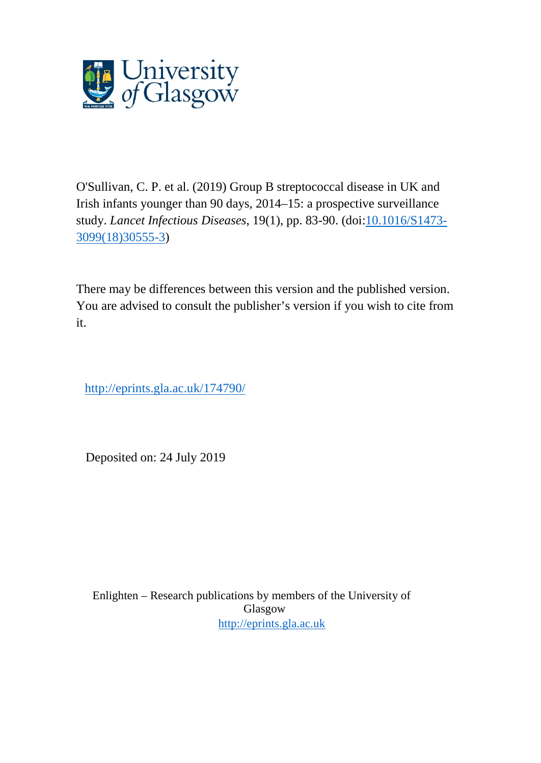

O'Sullivan, C. P. et al. (2019) Group B streptococcal disease in UK and Irish infants younger than 90 days, 2014–15: a prospective surveillance study. *Lancet Infectious Diseases*, 19(1), pp. 83-90. (doi: 10.1016/S1473-[3099\(18\)30555-3\)](http://dx.doi.org/10.1016/S1473-3099(18)30555-3)

There may be differences between this version and the published version. You are advised to consult the publisher's version if you wish to cite from it.

http://eprints.gla.ac.uk/174790/

Deposited on: 24 July 2019

Enlighten – Research publications by members of the University of Glasgow [http://eprints.gla.ac.uk](http://eprints.gla.ac.uk/)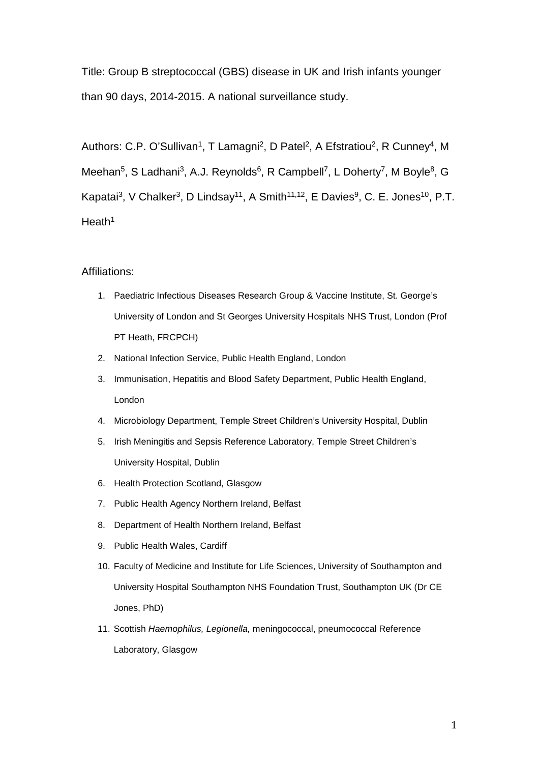Title: Group B streptococcal (GBS) disease in UK and Irish infants younger than 90 days, 2014-2015. A national surveillance study.

Authors: C.P. O'Sullivan<sup>1</sup>, T Lamagni<sup>2</sup>, D Patel<sup>2</sup>, A Efstratiou<sup>2</sup>, R Cunney<sup>4</sup>, M Meehan<sup>5</sup>, S Ladhani<sup>3</sup>, A.J. Reynolds<sup>6</sup>, R Campbell<sup>7</sup>, L Doherty<sup>7</sup>, M Boyle<sup>8</sup>, G Kapatai<sup>3</sup>, V Chalker<sup>3</sup>, D Lindsay<sup>11</sup>, A Smith<sup>11,12</sup>, E Davies<sup>9</sup>, C. E. Jones<sup>10</sup>, P.T.  $Heath<sup>1</sup>$ 

#### Affiliations:

- 1. Paediatric Infectious Diseases Research Group & Vaccine Institute, St. George's University of London and St Georges University Hospitals NHS Trust, London (Prof PT Heath, FRCPCH)
- 2. National Infection Service, Public Health England, London
- 3. Immunisation, Hepatitis and Blood Safety Department, Public Health England, London
- 4. Microbiology Department, Temple Street Children's University Hospital, Dublin
- 5. Irish Meningitis and Sepsis Reference Laboratory, Temple Street Children's University Hospital, Dublin
- 6. Health Protection Scotland, Glasgow
- 7. Public Health Agency Northern Ireland, Belfast
- 8. Department of Health Northern Ireland, Belfast
- 9. Public Health Wales, Cardiff
- 10. Faculty of Medicine and Institute for Life Sciences, University of Southampton and University Hospital Southampton NHS Foundation Trust, Southampton UK (Dr CE Jones, PhD)
- 11. Scottish *Haemophilus, Legionella,* meningococcal, pneumococcal Reference Laboratory, Glasgow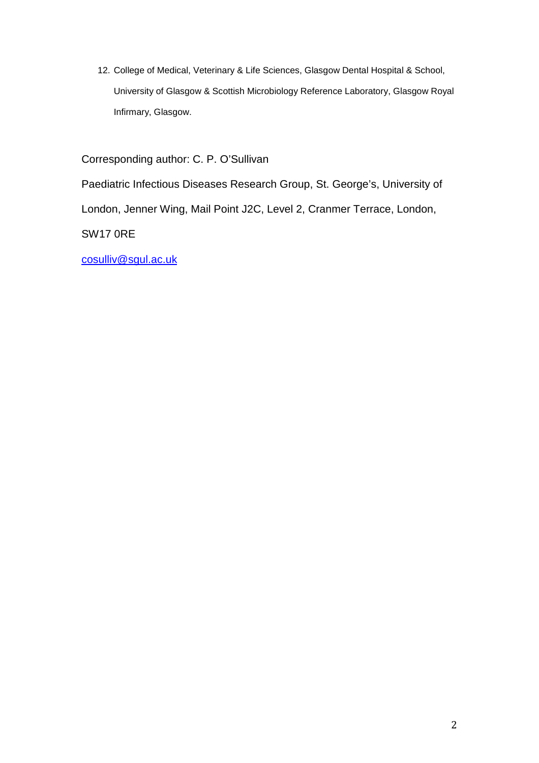12. College of Medical, Veterinary & Life Sciences, Glasgow Dental Hospital & School, University of Glasgow & Scottish Microbiology Reference Laboratory, Glasgow Royal Infirmary, Glasgow.

Corresponding author: C. P. O'Sullivan

Paediatric Infectious Diseases Research Group, St. George's, University of London, Jenner Wing, Mail Point J2C, Level 2, Cranmer Terrace, London, SW17 0RE

[cosulliv@sgul.ac.uk](mailto:cosulliv@sgul.ac.uk)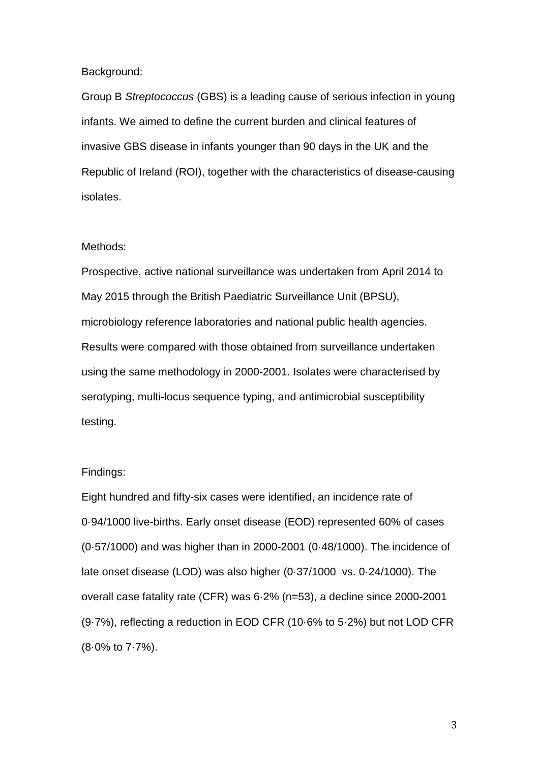#### Background:

Group B *Streptococcus* (GBS) is a leading cause of serious infection in young infants. We aimed to define the current burden and clinical features of invasive GBS disease in infants younger than 90 days in the UK and the Republic of Ireland (ROI), together with the characteristics of disease-causing isolates.

#### Methods:

Prospective, active national surveillance was undertaken from April 2014 to May 2015 through the British Paediatric Surveillance Unit (BPSU), microbiology reference laboratories and national public health agencies. Results were compared with those obtained from surveillance undertaken using the same methodology in 2000-2001. Isolates were characterised by serotyping, multi-locus sequence typing, and antimicrobial susceptibility testing.

#### Findings:

Eight hundred and fifty-six cases were identified, an incidence rate of 0·94/1000 live-births. Early onset disease (EOD) represented 60% of cases (0·57/1000) and was higher than in 2000-2001 (0·48/1000). The incidence of late onset disease (LOD) was also higher (0·37/1000 vs. 0·24/1000). The overall case fatality rate (CFR) was 6·2% (n=53), a decline since 2000-2001 (9·7%), reflecting a reduction in EOD CFR (10·6% to 5·2%) but not LOD CFR (8·0% to 7·7%).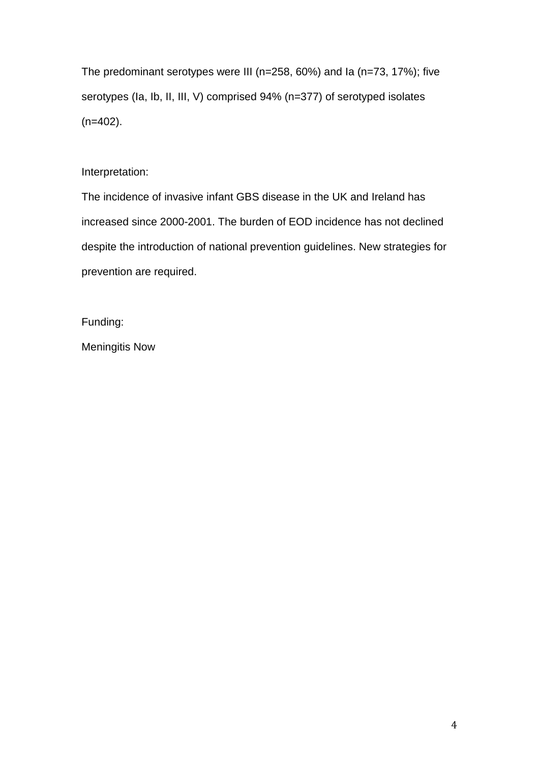The predominant serotypes were III (n=258, 60%) and Ia (n=73, 17%); five serotypes (Ia, Ib, II, III, V) comprised 94% (n=377) of serotyped isolates (n=402).

### Interpretation:

The incidence of invasive infant GBS disease in the UK and Ireland has increased since 2000-2001. The burden of EOD incidence has not declined despite the introduction of national prevention guidelines. New strategies for prevention are required.

Funding:

Meningitis Now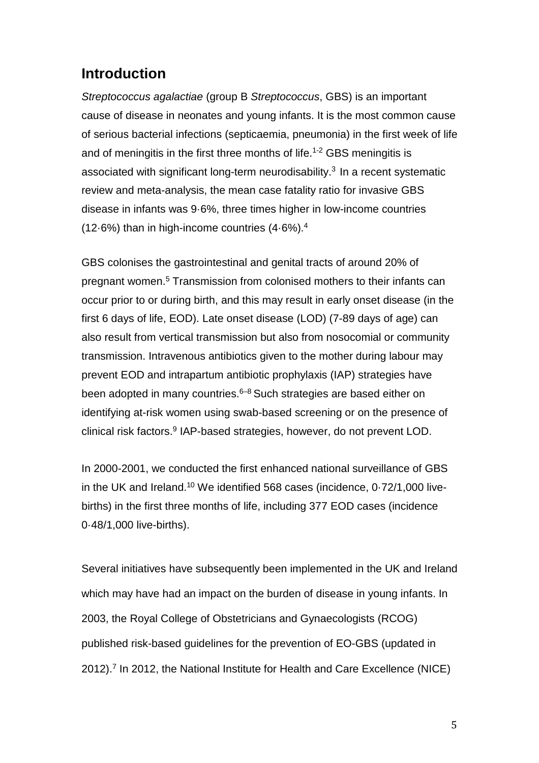# **Introduction**

*Streptococcus agalactiae* (group B *Streptococcus*, GBS) is an important cause of disease in neonates and young infants. It is the most common cause of serious bacterial infections (septicaemia, pneumonia) in the first week of life and of meningitis in the first three months of life.1-2 GBS meningitis is associated with significant long-term neurodisability. 3 In a recent systematic review and meta-analysis, the mean case fatality ratio for invasive GBS disease in infants was 9·6%, three times higher in low-income countries (12·6%) than in high-income countries (4·6%).4

GBS colonises the gastrointestinal and genital tracts of around 20% of pregnant women. <sup>5</sup> Transmission from colonised mothers to their infants can occur prior to or during birth, and this may result in early onset disease (in the first 6 days of life, EOD). Late onset disease (LOD) (7-89 days of age) can also result from vertical transmission but also from nosocomial or community transmission. Intravenous antibiotics given to the mother during labour may prevent EOD and intrapartum antibiotic prophylaxis (IAP) strategies have been adopted in many countries. $6-8$  Such strategies are based either on identifying at-risk women using swab-based screening or on the presence of clinical risk factors. <sup>9</sup> IAP-based strategies, however, do not prevent LOD.

In 2000-2001, we conducted the first enhanced national surveillance of GBS in the UK and Ireland. <sup>10</sup> We identified 568 cases (incidence, 0·72/1,000 livebirths) in the first three months of life, including 377 EOD cases (incidence 0·48/1,000 live-births).

Several initiatives have subsequently been implemented in the UK and Ireland which may have had an impact on the burden of disease in young infants. In 2003, the Royal College of Obstetricians and Gynaecologists (RCOG) published risk-based guidelines for the prevention of EO-GBS (updated in 2012).<sup>7</sup> In 2012, the National Institute for Health and Care Excellence (NICE)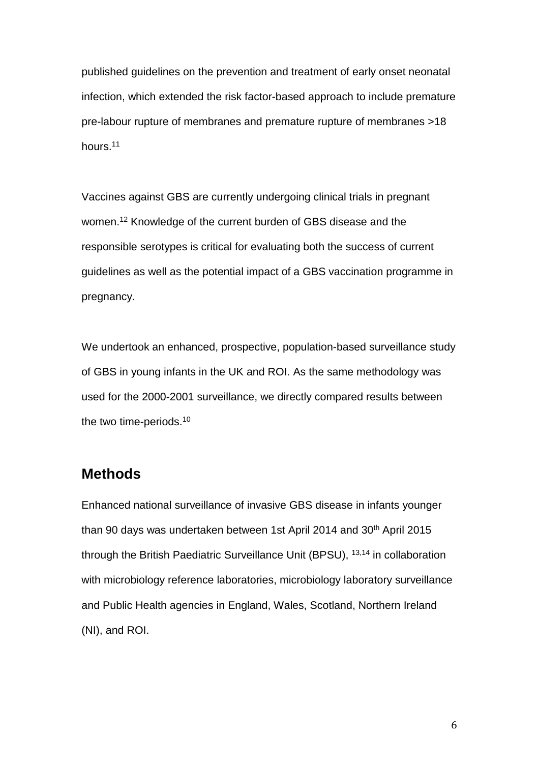published guidelines on the prevention and treatment of early onset neonatal infection, which extended the risk factor-based approach to include premature pre-labour rupture of membranes and premature rupture of membranes >18 hours. 11

Vaccines against GBS are currently undergoing clinical trials in pregnant women. <sup>12</sup> Knowledge of the current burden of GBS disease and the responsible serotypes is critical for evaluating both the success of current guidelines as well as the potential impact of a GBS vaccination programme in pregnancy.

We undertook an enhanced, prospective, population-based surveillance study of GBS in young infants in the UK and ROI. As the same methodology was used for the 2000-2001 surveillance, we directly compared results between the two time-periods.<sup>10</sup>

# **Methods**

Enhanced national surveillance of invasive GBS disease in infants younger than 90 days was undertaken between 1st April 2014 and 30<sup>th</sup> April 2015 through the British Paediatric Surveillance Unit (BPSU), 13,14 in collaboration with microbiology reference laboratories, microbiology laboratory surveillance and Public Health agencies in England, Wales, Scotland, Northern Ireland (NI), and ROI.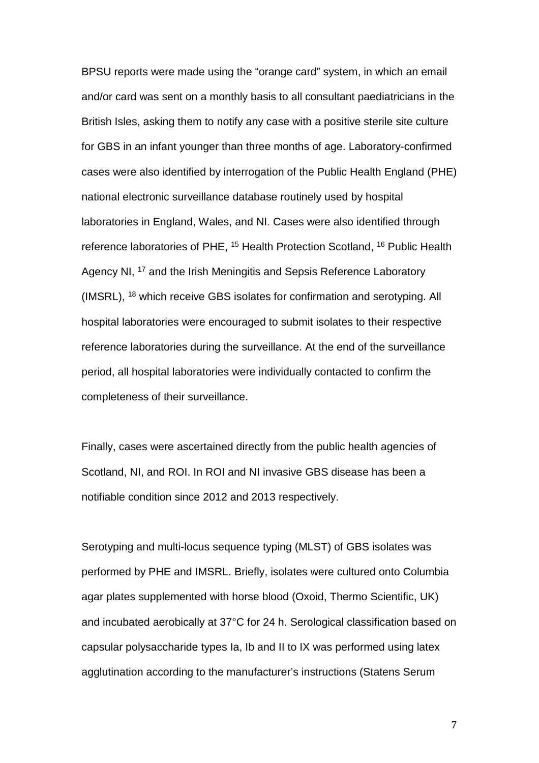BPSU reports were made using the "orange card" system, in which an email and/or card was sent on a monthly basis to all consultant paediatricians in the British Isles, asking them to notify any case with a positive sterile site culture for GBS in an infant younger than three months of age. Laboratory-confirmed cases were also identified by interrogation of the Public Health England (PHE) national electronic surveillance database routinely used by hospital laboratories in England, Wales, and NI. Cases were also identified through reference laboratories of PHE, <sup>15</sup> Health Protection Scotland, <sup>16</sup> Public Health Agency NI, <sup>17</sup> and the Irish Meningitis and Sepsis Reference Laboratory (IMSRL), <sup>18</sup> which receive GBS isolates for confirmation and serotyping. All hospital laboratories were encouraged to submit isolates to their respective reference laboratories during the surveillance. At the end of the surveillance period, all hospital laboratories were individually contacted to confirm the completeness of their surveillance.

Finally, cases were ascertained directly from the public health agencies of Scotland, NI, and ROI. In ROI and NI invasive GBS disease has been a notifiable condition since 2012 and 2013 respectively.

Serotyping and multi-locus sequence typing (MLST) of GBS isolates was performed by PHE and IMSRL. Briefly, isolates were cultured onto Columbia agar plates supplemented with horse blood (Oxoid, Thermo Scientific, UK) and incubated aerobically at 37°C for 24 h. Serological classification based on capsular polysaccharide types Ia, Ib and II to IX was performed using latex agglutination according to the manufacturer's instructions (Statens Serum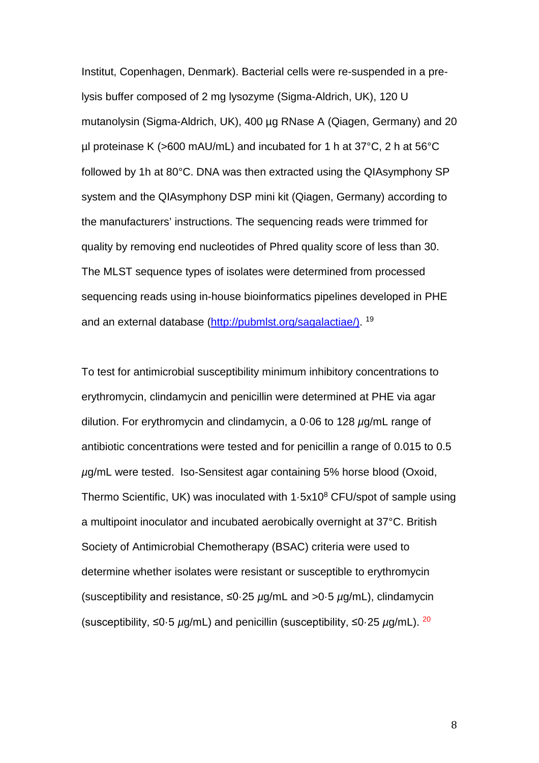Institut, Copenhagen, Denmark). Bacterial cells were re-suspended in a prelysis buffer composed of 2 mg lysozyme (Sigma-Aldrich, UK), 120 U mutanolysin (Sigma-Aldrich, UK), 400 µg RNase A (Qiagen, Germany) and 20 µl proteinase K (>600 mAU/mL) and incubated for 1 h at 37°C, 2 h at 56°C followed by 1h at 80°C. DNA was then extracted using the QIAsymphony SP system and the QIAsymphony DSP mini kit (Qiagen, Germany) according to the manufacturers' instructions. The sequencing reads were trimmed for quality by removing end nucleotides of Phred quality score of less than 30. The MLST sequence types of isolates were determined from processed sequencing reads using in-house bioinformatics pipelines developed in PHE and an external database [\(http://pubmlst.org/sagalactiae/\).](http://pubmlst.org/sagalactiae/)) <sup>19</sup>

To test for antimicrobial susceptibility minimum inhibitory concentrations to erythromycin, clindamycin and penicillin were determined at PHE via agar dilution. For erythromycin and clindamycin, a 0·06 to 128 *µ*g/mL range of antibiotic concentrations were tested and for penicillin a range of 0.015 to 0.5 *µ*g/mL were tested. Iso-Sensitest agar containing 5% horse blood (Oxoid, Thermo Scientific, UK) was inoculated with  $1.5x10^8$  CFU/spot of sample using a multipoint inoculator and incubated aerobically overnight at 37°C. British Society of Antimicrobial Chemotherapy (BSAC) criteria were used to determine whether isolates were resistant or susceptible to erythromycin (susceptibility and resistance, ≤0·25 *µ*g/mL and >0·5 *µ*g/mL), clindamycin (susceptibility, ≤0·5 *µ*g/mL) and penicillin (susceptibility, ≤0·25 *µ*g/mL). <sup>20</sup>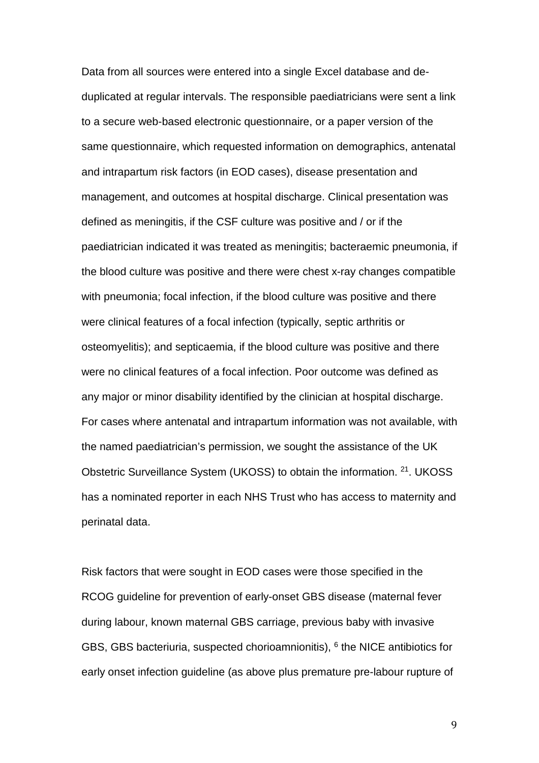Data from all sources were entered into a single Excel database and deduplicated at regular intervals. The responsible paediatricians were sent a link to a secure web-based electronic questionnaire, or a paper version of the same questionnaire, which requested information on demographics, antenatal and intrapartum risk factors (in EOD cases), disease presentation and management, and outcomes at hospital discharge. Clinical presentation was defined as meningitis, if the CSF culture was positive and / or if the paediatrician indicated it was treated as meningitis; bacteraemic pneumonia, if the blood culture was positive and there were chest x-ray changes compatible with pneumonia; focal infection, if the blood culture was positive and there were clinical features of a focal infection (typically, septic arthritis or osteomyelitis); and septicaemia, if the blood culture was positive and there were no clinical features of a focal infection. Poor outcome was defined as any major or minor disability identified by the clinician at hospital discharge. For cases where antenatal and intrapartum information was not available, with the named paediatrician's permission, we sought the assistance of the UK Obstetric Surveillance System (UKOSS) to obtain the information. 21. UKOSS has a nominated reporter in each NHS Trust who has access to maternity and perinatal data.

Risk factors that were sought in EOD cases were those specified in the RCOG guideline for prevention of early-onset GBS disease (maternal fever during labour, known maternal GBS carriage, previous baby with invasive GBS, GBS bacteriuria, suspected chorioamnionitis), <sup>6</sup> the NICE antibiotics for early onset infection guideline (as above plus premature pre-labour rupture of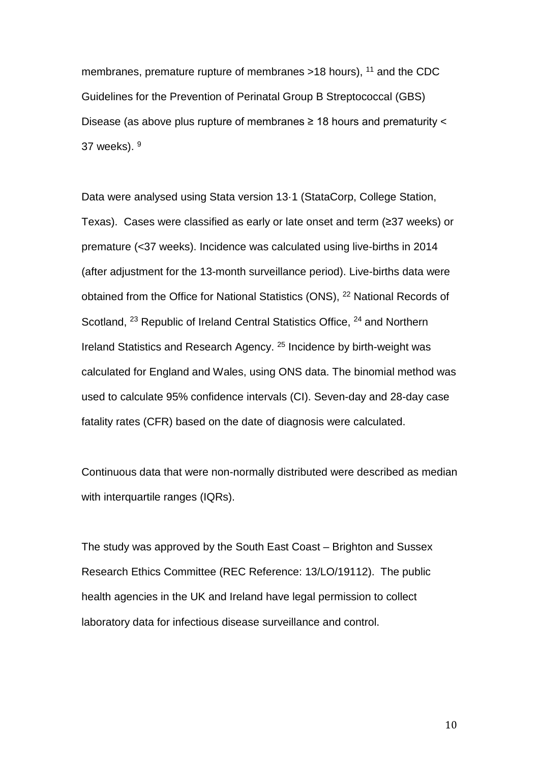membranes, premature rupture of membranes >18 hours), <sup>11</sup> and the CDC Guidelines for the Prevention of Perinatal Group B Streptococcal (GBS) Disease (as above plus rupture of membranes  $\geq$  18 hours and prematurity  $\lt$ 37 weeks).  $9$ 

Data were analysed using Stata version 13·1 (StataCorp, College Station, Texas). Cases were classified as early or late onset and term (≥37 weeks) or premature (<37 weeks). Incidence was calculated using live-births in 2014 (after adjustment for the 13-month surveillance period). Live-births data were obtained from the Office for National Statistics (ONS), <sup>22</sup> National Records of Scotland, <sup>23</sup> Republic of Ireland Central Statistics Office, <sup>24</sup> and Northern Ireland Statistics and Research Agency. 25 Incidence by birth-weight was calculated for England and Wales, using ONS data. The binomial method was used to calculate 95% confidence intervals (CI). Seven-day and 28-day case fatality rates (CFR) based on the date of diagnosis were calculated.

Continuous data that were non-normally distributed were described as median with interquartile ranges (IQRs).

The study was approved by the South East Coast – Brighton and Sussex Research Ethics Committee (REC Reference: 13/LO/19112). The public health agencies in the UK and Ireland have legal permission to collect laboratory data for infectious disease surveillance and control.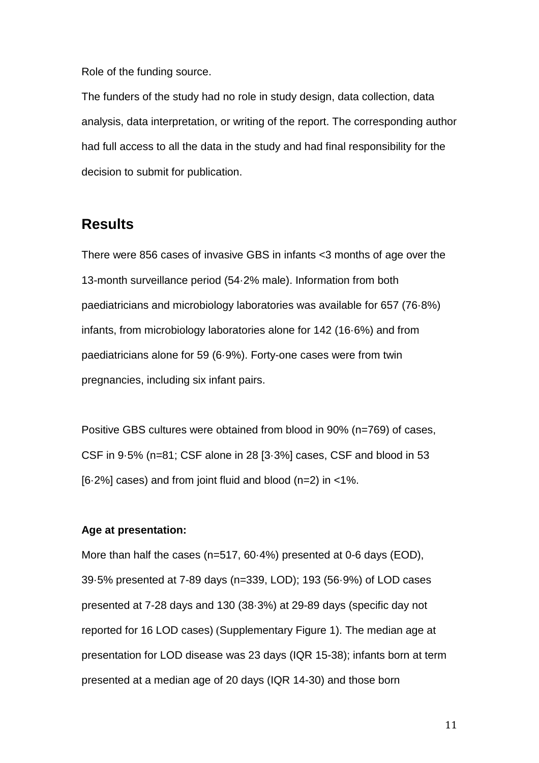Role of the funding source.

The funders of the study had no role in study design, data collection, data analysis, data interpretation, or writing of the report. The corresponding author had full access to all the data in the study and had final responsibility for the decision to submit for publication.

# **Results**

There were 856 cases of invasive GBS in infants <3 months of age over the 13-month surveillance period (54·2% male). Information from both paediatricians and microbiology laboratories was available for 657 (76·8%) infants, from microbiology laboratories alone for 142 (16·6%) and from paediatricians alone for 59 (6·9%). Forty-one cases were from twin pregnancies, including six infant pairs.

Positive GBS cultures were obtained from blood in 90% (n=769) of cases, CSF in 9·5% (n=81; CSF alone in 28 [3·3%] cases, CSF and blood in 53  $[6.2\%]$  cases) and from joint fluid and blood (n=2) in <1%.

### **Age at presentation:**

More than half the cases (n=517, 60·4%) presented at 0-6 days (EOD), 39·5% presented at 7-89 days (n=339, LOD); 193 (56·9%) of LOD cases presented at 7-28 days and 130 (38·3%) at 29-89 days (specific day not reported for 16 LOD cases) (Supplementary Figure 1). The median age at presentation for LOD disease was 23 days (IQR 15-38); infants born at term presented at a median age of 20 days (IQR 14-30) and those born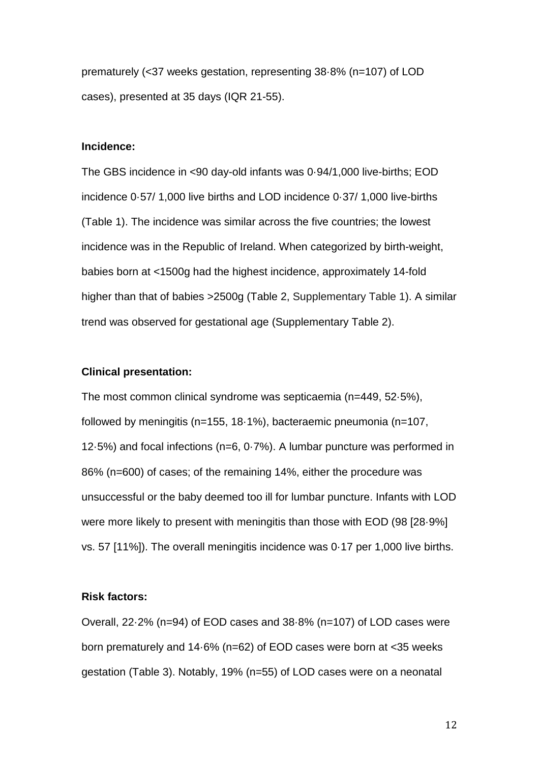prematurely (<37 weeks gestation, representing 38·8% (n=107) of LOD cases), presented at 35 days (IQR 21-55).

#### **Incidence:**

The GBS incidence in <90 day-old infants was 0·94/1,000 live-births; EOD incidence 0·57/ 1,000 live births and LOD incidence 0·37/ 1,000 live-births (Table 1). The incidence was similar across the five countries; the lowest incidence was in the Republic of Ireland. When categorized by birth-weight, babies born at <1500g had the highest incidence, approximately 14-fold higher than that of babies >2500g (Table 2, Supplementary Table 1). A similar trend was observed for gestational age (Supplementary Table 2).

#### **Clinical presentation:**

The most common clinical syndrome was septicaemia (n=449, 52·5%), followed by meningitis (n=155, 18·1%), bacteraemic pneumonia (n=107, 12·5%) and focal infections (n=6, 0·7%). A lumbar puncture was performed in 86% (n=600) of cases; of the remaining 14%, either the procedure was unsuccessful or the baby deemed too ill for lumbar puncture. Infants with LOD were more likely to present with meningitis than those with EOD (98 [28·9%] vs. 57 [11%]). The overall meningitis incidence was 0·17 per 1,000 live births.

#### **Risk factors:**

Overall, 22·2% (n=94) of EOD cases and 38·8% (n=107) of LOD cases were born prematurely and 14·6% (n=62) of EOD cases were born at <35 weeks gestation (Table 3). Notably, 19% (n=55) of LOD cases were on a neonatal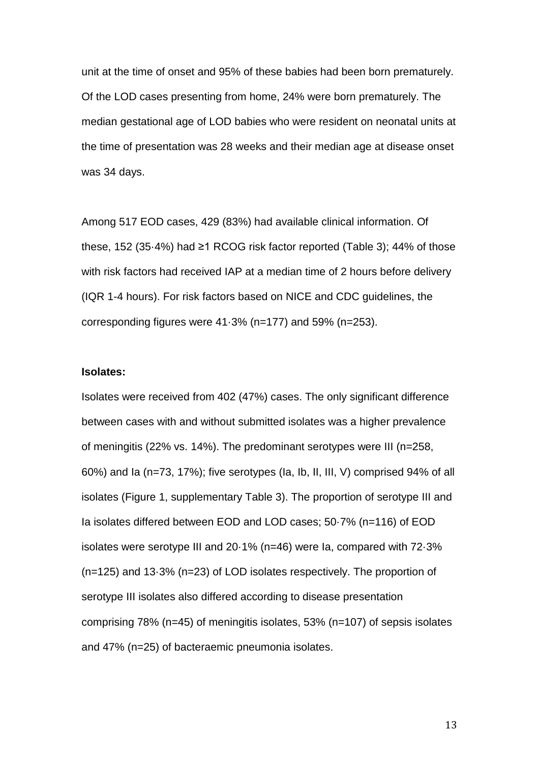unit at the time of onset and 95% of these babies had been born prematurely. Of the LOD cases presenting from home, 24% were born prematurely. The median gestational age of LOD babies who were resident on neonatal units at the time of presentation was 28 weeks and their median age at disease onset was 34 days.

Among 517 EOD cases, 429 (83%) had available clinical information. Of these, 152 (35·4%) had ≥1 RCOG risk factor reported (Table 3); 44% of those with risk factors had received IAP at a median time of 2 hours before delivery (IQR 1-4 hours). For risk factors based on NICE and CDC guidelines, the corresponding figures were 41·3% (n=177) and 59% (n=253).

#### **Isolates:**

Isolates were received from 402 (47%) cases. The only significant difference between cases with and without submitted isolates was a higher prevalence of meningitis (22% vs. 14%). The predominant serotypes were III (n=258, 60%) and Ia (n=73, 17%); five serotypes (Ia, Ib, II, III, V) comprised 94% of all isolates (Figure 1, supplementary Table 3). The proportion of serotype III and Ia isolates differed between EOD and LOD cases; 50·7% (n=116) of EOD isolates were serotype III and 20·1% (n=46) were Ia, compared with 72·3% (n=125) and 13·3% (n=23) of LOD isolates respectively. The proportion of serotype III isolates also differed according to disease presentation comprising 78% (n=45) of meningitis isolates, 53% (n=107) of sepsis isolates and 47% (n=25) of bacteraemic pneumonia isolates.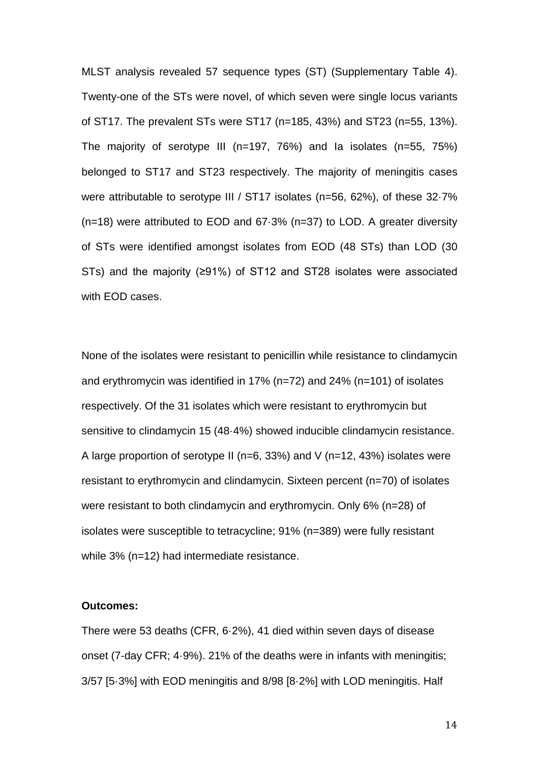MLST analysis revealed 57 sequence types (ST) (Supplementary Table 4). Twenty-one of the STs were novel, of which seven were single locus variants of ST17. The prevalent STs were ST17 (n=185, 43%) and ST23 (n=55, 13%). The majority of serotype III (n=197, 76%) and Ia isolates (n=55, 75%) belonged to ST17 and ST23 respectively. The majority of meningitis cases were attributable to serotype III / ST17 isolates (n=56, 62%), of these 32·7% (n=18) were attributed to EOD and 67·3% (n=37) to LOD. A greater diversity of STs were identified amongst isolates from EOD (48 STs) than LOD (30 STs) and the majority (≥91%) of ST12 and ST28 isolates were associated with EOD cases.

None of the isolates were resistant to penicillin while resistance to clindamycin and erythromycin was identified in 17% (n=72) and 24% (n=101) of isolates respectively. Of the 31 isolates which were resistant to erythromycin but sensitive to clindamycin 15 (48·4%) showed inducible clindamycin resistance. A large proportion of serotype II ( $n=6$ , 33%) and V ( $n=12$ , 43%) isolates were resistant to erythromycin and clindamycin. Sixteen percent (n=70) of isolates were resistant to both clindamycin and erythromycin. Only 6% (n=28) of isolates were susceptible to tetracycline; 91% (n=389) were fully resistant while 3% (n=12) had intermediate resistance.

#### **Outcomes:**

There were 53 deaths (CFR, 6·2%), 41 died within seven days of disease onset (7-day CFR; 4·9%). 21% of the deaths were in infants with meningitis; 3/57 [5·3%] with EOD meningitis and 8/98 [8·2%] with LOD meningitis. Half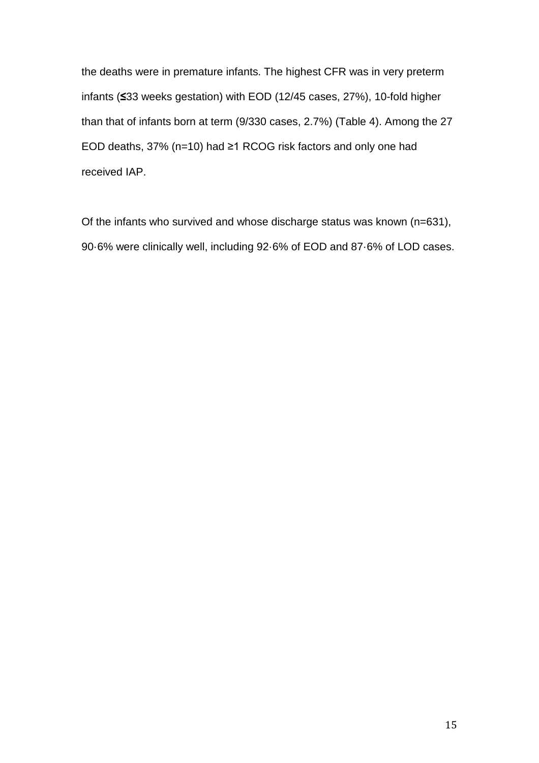the deaths were in premature infants. The highest CFR was in very preterm infants (**≤**33 weeks gestation) with EOD (12/45 cases, 27%), 10-fold higher than that of infants born at term (9/330 cases, 2.7%) (Table 4). Among the 27 EOD deaths, 37% (n=10) had ≥1 RCOG risk factors and only one had received IAP.

Of the infants who survived and whose discharge status was known (n=631), 90·6% were clinically well, including 92·6% of EOD and 87·6% of LOD cases.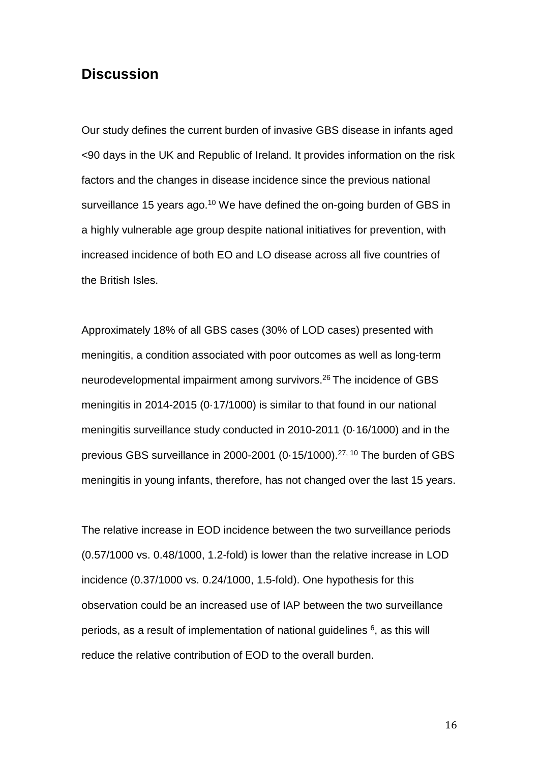## **Discussion**

Our study defines the current burden of invasive GBS disease in infants aged <90 days in the UK and Republic of Ireland. It provides information on the risk factors and the changes in disease incidence since the previous national surveillance 15 years ago.<sup>10</sup> We have defined the on-going burden of GBS in a highly vulnerable age group despite national initiatives for prevention, with increased incidence of both EO and LO disease across all five countries of the British Isles.

Approximately 18% of all GBS cases (30% of LOD cases) presented with meningitis, a condition associated with poor outcomes as well as long-term neurodevelopmental impairment among survivors. <sup>26</sup> The incidence of GBS meningitis in 2014-2015 (0·17/1000) is similar to that found in our national meningitis surveillance study conducted in 2010-2011 (0·16/1000) and in the previous GBS surveillance in 2000-2001 (0 $\cdot$ 15/1000).<sup>27, 10</sup> The burden of GBS meningitis in young infants, therefore, has not changed over the last 15 years.

The relative increase in EOD incidence between the two surveillance periods (0.57/1000 vs. 0.48/1000, 1.2-fold) is lower than the relative increase in LOD incidence (0.37/1000 vs. 0.24/1000, 1.5-fold). One hypothesis for this observation could be an increased use of IAP between the two surveillance periods, as a result of implementation of national quidelines  $6$ , as this will reduce the relative contribution of EOD to the overall burden.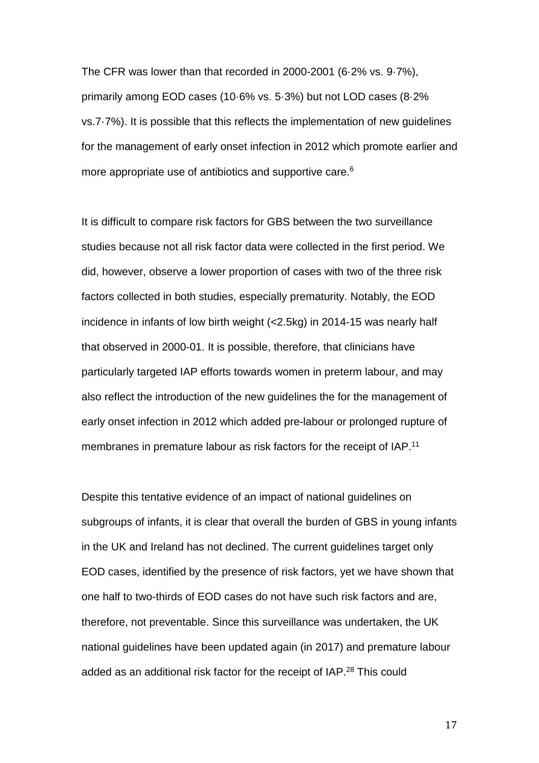The CFR was lower than that recorded in 2000-2001 (6·2% vs. 9·7%), primarily among EOD cases (10·6% vs. 5·3%) but not LOD cases (8·2% vs.7·7%). It is possible that this reflects the implementation of new guidelines for the management of early onset infection in 2012 which promote earlier and more appropriate use of antibiotics and supportive care. 6

It is difficult to compare risk factors for GBS between the two surveillance studies because not all risk factor data were collected in the first period. We did, however, observe a lower proportion of cases with two of the three risk factors collected in both studies, especially prematurity. Notably, the EOD incidence in infants of low birth weight (<2.5kg) in 2014-15 was nearly half that observed in 2000-01. It is possible, therefore, that clinicians have particularly targeted IAP efforts towards women in preterm labour, and may also reflect the introduction of the new guidelines the for the management of early onset infection in 2012 which added pre-labour or prolonged rupture of membranes in premature labour as risk factors for the receipt of IAP. 11

Despite this tentative evidence of an impact of national guidelines on subgroups of infants, it is clear that overall the burden of GBS in young infants in the UK and Ireland has not declined. The current guidelines target only EOD cases, identified by the presence of risk factors, yet we have shown that one half to two-thirds of EOD cases do not have such risk factors and are, therefore, not preventable. Since this surveillance was undertaken, the UK national guidelines have been updated again (in 2017) and premature labour added as an additional risk factor for the receipt of IAP. <sup>28</sup> This could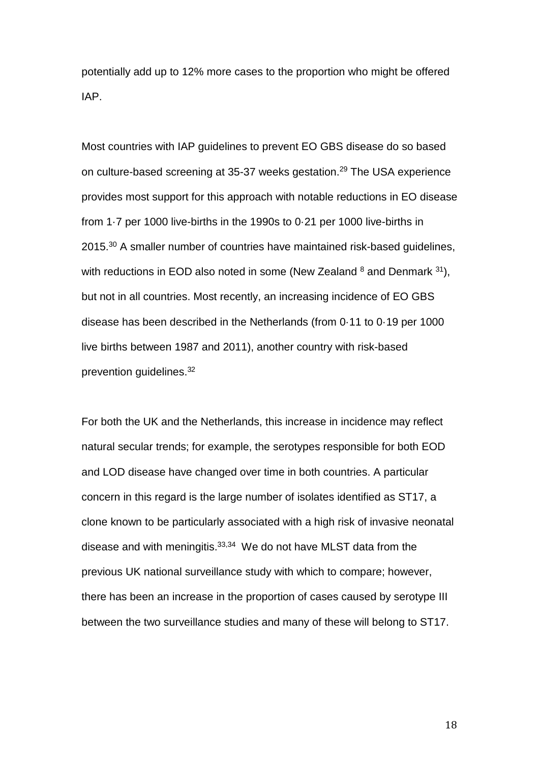potentially add up to 12% more cases to the proportion who might be offered IAP.

Most countries with IAP guidelines to prevent EO GBS disease do so based on culture-based screening at 35-37 weeks gestation. <sup>29</sup> The USA experience provides most support for this approach with notable reductions in EO disease from 1·7 per 1000 live-births in the 1990s to 0·21 per 1000 live-births in 2015.30 A smaller number of countries have maintained risk-based guidelines, with reductions in EOD also noted in some (New Zealand  $8$  and Denmark  $31$ ), but not in all countries. Most recently, an increasing incidence of EO GBS disease has been described in the Netherlands (from 0·11 to 0·19 per 1000 live births between 1987 and 2011), another country with risk-based prevention guidelines. 32

For both the UK and the Netherlands, this increase in incidence may reflect natural secular trends; for example, the serotypes responsible for both EOD and LOD disease have changed over time in both countries. A particular concern in this regard is the large number of isolates identified as ST17, a clone known to be particularly associated with a high risk of invasive neonatal disease and with meningitis.<sup>33,34</sup> We do not have MLST data from the previous UK national surveillance study with which to compare; however, there has been an increase in the proportion of cases caused by serotype III between the two surveillance studies and many of these will belong to ST17.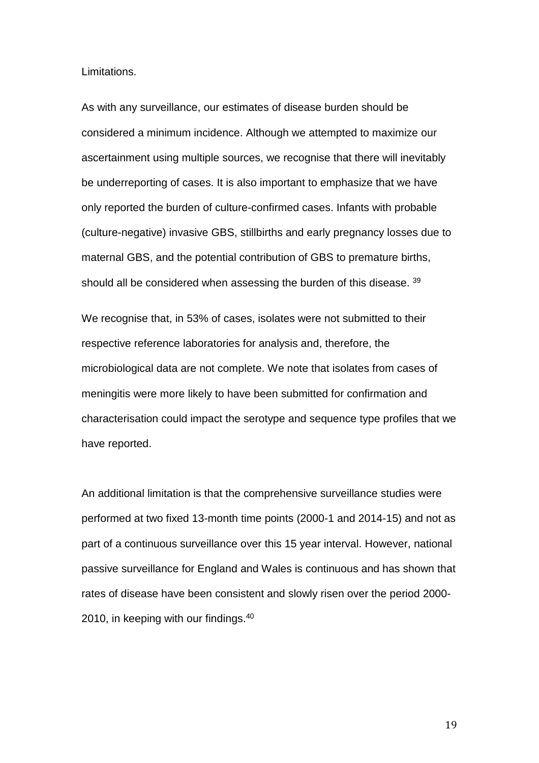Limitations.

As with any surveillance, our estimates of disease burden should be considered a minimum incidence. Although we attempted to maximize our ascertainment using multiple sources, we recognise that there will inevitably be underreporting of cases. It is also important to emphasize that we have only reported the burden of culture-confirmed cases. Infants with probable (culture-negative) invasive GBS, stillbirths and early pregnancy losses due to maternal GBS, and the potential contribution of GBS to premature births, should all be considered when assessing the burden of this disease. 39

We recognise that, in 53% of cases, isolates were not submitted to their respective reference laboratories for analysis and, therefore, the microbiological data are not complete. We note that isolates from cases of meningitis were more likely to have been submitted for confirmation and characterisation could impact the serotype and sequence type profiles that we have reported.

An additional limitation is that the comprehensive surveillance studies were performed at two fixed 13-month time points (2000-1 and 2014-15) and not as part of a continuous surveillance over this 15 year interval. However, national passive surveillance for England and Wales is continuous and has shown that rates of disease have been consistent and slowly risen over the period 2000- 2010, in keeping with our findings. $^{40}$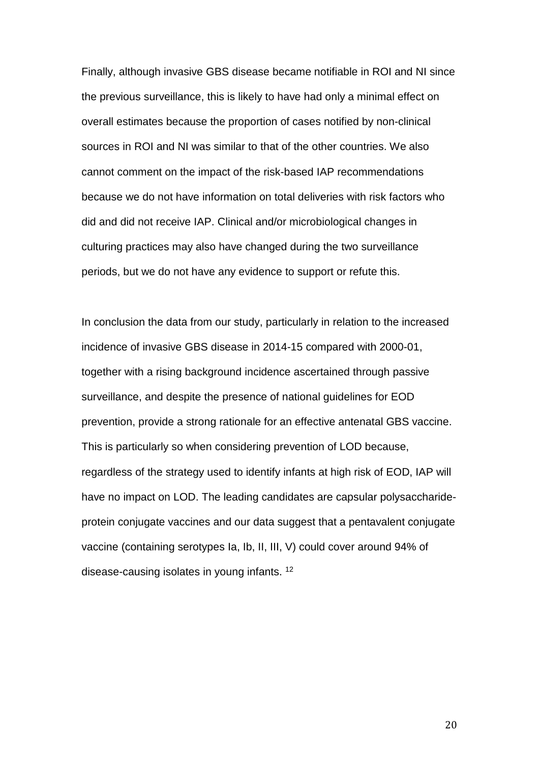Finally, although invasive GBS disease became notifiable in ROI and NI since the previous surveillance, this is likely to have had only a minimal effect on overall estimates because the proportion of cases notified by non-clinical sources in ROI and NI was similar to that of the other countries. We also cannot comment on the impact of the risk-based IAP recommendations because we do not have information on total deliveries with risk factors who did and did not receive IAP. Clinical and/or microbiological changes in culturing practices may also have changed during the two surveillance periods, but we do not have any evidence to support or refute this.

In conclusion the data from our study, particularly in relation to the increased incidence of invasive GBS disease in 2014-15 compared with 2000-01, together with a rising background incidence ascertained through passive surveillance, and despite the presence of national guidelines for EOD prevention, provide a strong rationale for an effective antenatal GBS vaccine. This is particularly so when considering prevention of LOD because, regardless of the strategy used to identify infants at high risk of EOD, IAP will have no impact on LOD. The leading candidates are capsular polysaccharideprotein conjugate vaccines and our data suggest that a pentavalent conjugate vaccine (containing serotypes Ia, Ib, II, III, V) could cover around 94% of disease-causing isolates in young infants. 12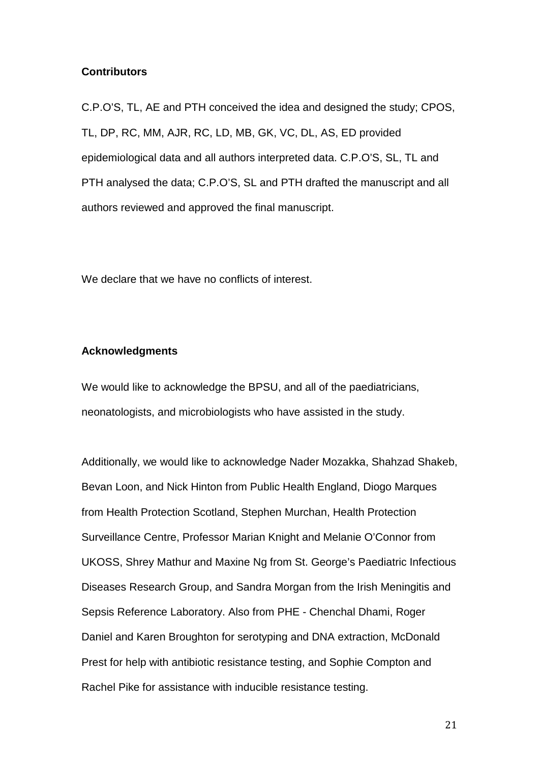#### **Contributors**

C.P.O'S, TL, AE and PTH conceived the idea and designed the study; CPOS, TL, DP, RC, MM, AJR, RC, LD, MB, GK, VC, DL, AS, ED provided epidemiological data and all authors interpreted data. C.P.O'S, SL, TL and PTH analysed the data; C.P.O'S, SL and PTH drafted the manuscript and all authors reviewed and approved the final manuscript.

We declare that we have no conflicts of interest.

#### **Acknowledgments**

We would like to acknowledge the BPSU, and all of the paediatricians, neonatologists, and microbiologists who have assisted in the study.

Additionally, we would like to acknowledge Nader Mozakka, Shahzad Shakeb, Bevan Loon, and Nick Hinton from Public Health England, Diogo Marques from Health Protection Scotland, Stephen Murchan, Health Protection Surveillance Centre, Professor Marian Knight and Melanie O'Connor from UKOSS, Shrey Mathur and Maxine Ng from St. George's Paediatric Infectious Diseases Research Group, and Sandra Morgan from the Irish Meningitis and Sepsis Reference Laboratory. Also from PHE - Chenchal Dhami, Roger Daniel and Karen Broughton for serotyping and DNA extraction, McDonald Prest for help with antibiotic resistance testing, and Sophie Compton and Rachel Pike for assistance with inducible resistance testing.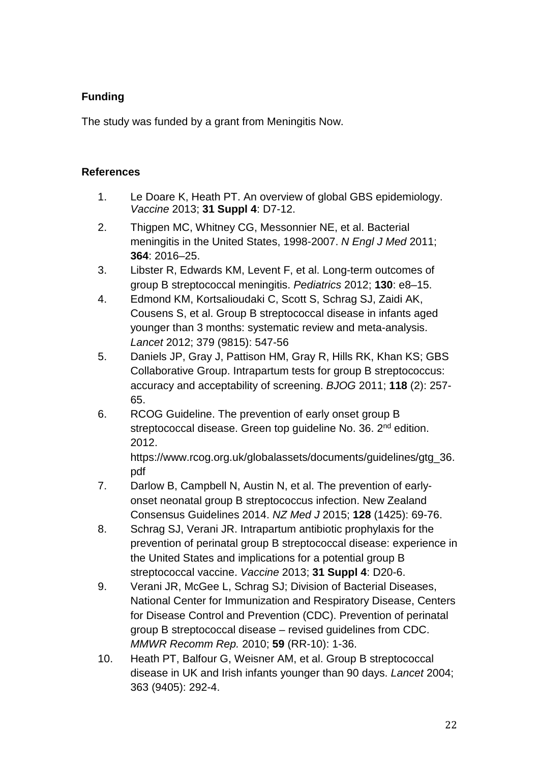## **Funding**

The study was funded by a grant from Meningitis Now.

### **References**

- 1. Le Doare K, Heath PT. An overview of global GBS epidemiology. *Vaccine* 2013; **31 Suppl 4**: D7-12.
- 2. Thigpen MC, Whitney CG, Messonnier NE, et al. Bacterial meningitis in the United States, 1998-2007. *N Engl J Med* 2011; **364**: 2016–25.
- 3. Libster R, Edwards KM, Levent F, et al. Long-term outcomes of group B streptococcal meningitis. *Pediatrics* 2012; **130**: e8–15.
- 4. Edmond KM, Kortsalioudaki C, Scott S, Schrag SJ, Zaidi AK, Cousens S, et al. Group B streptococcal disease in infants aged younger than 3 months: systematic review and meta-analysis. *Lancet* 2012; 379 (9815): 547-56
- 5. Daniels JP, Gray J, Pattison HM, Gray R, Hills RK, Khan KS; GBS Collaborative Group. Intrapartum tests for group B streptococcus: accuracy and acceptability of screening. *BJOG* 2011; **118** (2): 257- 65.
- 6. RCOG Guideline. The prevention of early onset group B streptococcal disease. Green top guideline No. 36. 2<sup>nd</sup> edition. 2012.

https://www.rcog.org.uk/globalassets/documents/guidelines/gtg\_36. pdf

- 7. Darlow B, Campbell N, Austin N, et al. The prevention of earlyonset neonatal group B streptococcus infection. New Zealand Consensus Guidelines 2014. *NZ Med J* 2015; **128** (1425): 69-76.
- 8. Schrag SJ, Verani JR. Intrapartum antibiotic prophylaxis for the prevention of perinatal group B streptococcal disease: experience in the United States and implications for a potential group B streptococcal vaccine. *Vaccine* 2013; **31 Suppl 4**: D20-6.
- 9. Verani JR, McGee L, Schrag SJ; Division of Bacterial Diseases, National Center for Immunization and Respiratory Disease, Centers for Disease Control and Prevention (CDC). Prevention of perinatal group B streptococcal disease – revised guidelines from CDC. *MMWR Recomm Rep.* 2010; **59** (RR-10): 1-36.
- 10. [Heath PT,](http://www.ncbi.nlm.nih.gov/pubmed?term=Heath%20PT%5BAuthor%5D&cauthor=true&cauthor_uid=14751704) [Balfour G,](http://www.ncbi.nlm.nih.gov/pubmed?term=Balfour%20G%5BAuthor%5D&cauthor=true&cauthor_uid=14751704) [Weisner AM,](http://www.ncbi.nlm.nih.gov/pubmed?term=Weisner%20AM%5BAuthor%5D&cauthor=true&cauthor_uid=14751704) et al. Group B streptococcal disease in UK and Irish infants younger than 90 days. *Lancet* 2004; 363 (9405): 292-4.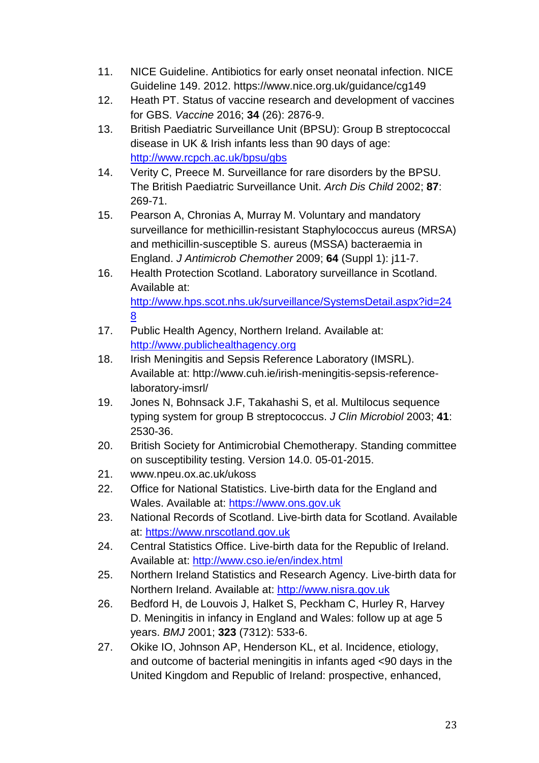- 11. NICE Guideline. Antibiotics for early onset neonatal infection. NICE Guideline 149. 2012.<https://www.nice.org.uk/guidance/cg149>
- 12. Heath PT. Status of vaccine research and development of vaccines for GBS. *Vaccine* 2016; **34** (26): 2876-9.
- 13. British Paediatric Surveillance Unit (BPSU): Group B streptococcal disease in UK & Irish infants less than 90 days of age: <http://www.rcpch.ac.uk/bpsu/gbs>
- 14. Verity C, Preece M. Surveillance for rare disorders by the BPSU. The British Paediatric Surveillance Unit. *Arch Dis Child* 2002; **87**: 269-71.
- 15. Pearson A, Chronias A, Murray M. Voluntary and mandatory surveillance for methicillin-resistant Staphylococcus aureus (MRSA) and methicillin-susceptible S. aureus (MSSA) bacteraemia in England. *J Antimicrob Chemother* 2009; **64** (Suppl 1): j11-7.
- 16. Health Protection Scotland. Laboratory surveillance in Scotland. Available at: [http://www.hps.scot.nhs.uk/surveillance/SystemsDetail.aspx?id=24](http://www.hps.scot.nhs.uk/surveillance/SystemsDetail.aspx?id=248) [8](http://www.hps.scot.nhs.uk/surveillance/SystemsDetail.aspx?id=248)
- 17. Public Health Agency, Northern Ireland. Available at: [http://www.publichealthagency.org](http://www.publichealthagency.org/)
- 18. Irish Meningitis and Sepsis Reference Laboratory (IMSRL). Available at: http://www.cuh.ie/irish-meningitis-sepsis-referencelaboratory-imsrl/
- 19. Jones N, Bohnsack J.F, Takahashi S, et al. Multilocus sequence typing system for group B streptococcus. *J Clin Microbiol* 2003; **41**: 2530-36.
- 20. British Society for Antimicrobial Chemotherapy. Standing committee on susceptibility testing. Version 14.0. 05-01-2015.
- 21. www.npeu.ox.ac.uk/ukoss
- 22. Office for National Statistics. Live-birth data for the England and Wales. Available at: [https://www.ons.gov.uk](https://www.ons.gov.uk/)
- 23. National Records of Scotland. Live-birth data for Scotland. Available at: [https://www.nrscotland.gov.uk](https://www.nrscotland.gov.uk/)
- 24. Central Statistics Office. Live-birth data for the Republic of Ireland. Available at:<http://www.cso.ie/en/index.html>
- 25. Northern Ireland Statistics and Research Agency. Live-birth data for Northern Ireland. Available at: [http://www.nisra.gov.uk](http://www.nisra.gov.uk/)
- 26. Bedford H, de Louvois J, Halket S, Peckham C, Hurley R, Harvey D. Meningitis in infancy in England and Wales: follow up at age 5 years. *BMJ* 2001; **323** (7312): 533-6.
- 27. Okike IO, Johnson AP, Henderson KL, et al. Incidence, etiology, and outcome of bacterial meningitis in infants aged <90 days in the United Kingdom and Republic of Ireland: prospective, enhanced,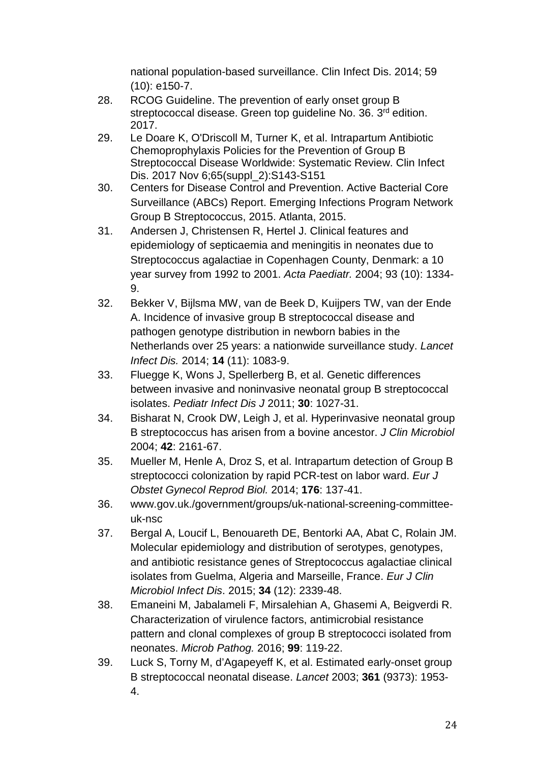national population-based surveillance. Clin Infect Dis. 2014; 59 (10): e150-7.

- 28. RCOG Guideline. The prevention of early onset group B streptococcal disease. Green top guideline No. 36. 3<sup>rd</sup> edition. 2017.
- 29. Le Doare K, O'Driscoll M, Turner K, et al. [Intrapartum Antibiotic](https://www.ncbi.nlm.nih.gov/pubmed/29117324)  [Chemoprophylaxis Policies for the Prevention of Group B](https://www.ncbi.nlm.nih.gov/pubmed/29117324)  [Streptococcal Disease Worldwide: Systematic Review.](https://www.ncbi.nlm.nih.gov/pubmed/29117324) Clin Infect Dis. 2017 Nov 6;65(suppl\_2):S143-S151
- 30. Centers for Disease Control and Prevention. Active Bacterial Core Surveillance (ABCs) Report. Emerging Infections Program Network Group B Streptococcus, 2015. Atlanta, 2015.
- 31. Andersen J, Christensen R, Hertel J. Clinical features and epidemiology of septicaemia and meningitis in neonates due to Streptococcus agalactiae in Copenhagen County, Denmark: a 10 year survey from 1992 to 2001. *Acta Paediatr.* 2004; 93 (10): 1334- 9.
- 32. Bekker V, Bijlsma MW, van de Beek D, Kuijpers TW, van der Ende A. Incidence of invasive group B streptococcal disease and pathogen genotype distribution in newborn babies in the Netherlands over 25 years: a nationwide surveillance study. *Lancet Infect Dis.* 2014; **14** (11): 1083-9.
- 33. Fluegge K, Wons J, Spellerberg B, et al. Genetic differences between invasive and noninvasive neonatal group B streptococcal isolates. *Pediatr Infect Dis J* 2011; **30**: 1027-31.
- 34. Bisharat N, Crook DW, Leigh J, et al. Hyperinvasive neonatal group B streptococcus has arisen from a bovine ancestor. *J Clin Microbiol* 2004; **42**: 2161-67.
- 35. Mueller M, Henle A, Droz S, et al. Intrapartum detection of Group B streptococci colonization by rapid PCR-test on labor ward. *Eur J Obstet Gynecol Reprod Biol.* 2014; **176**: 137-41.
- 36. www.gov.uk./government/groups/uk-national-screening-committeeuk-nsc
- 37. Bergal A, Loucif L, Benouareth DE, Bentorki AA, Abat C, Rolain JM. Molecular epidemiology and distribution of serotypes, genotypes, and antibiotic resistance genes of Streptococcus agalactiae clinical isolates from Guelma, Algeria and Marseille, France. *Eur J Clin Microbiol Infect Dis*. 2015; **34** (12): 2339-48.
- 38. Emaneini M, Jabalameli F, Mirsalehian A, Ghasemi A, Beigverdi R. Characterization of virulence factors, antimicrobial resistance pattern and clonal complexes of group B streptococci isolated from neonates. *Microb Pathog.* 2016; **99**: 119-22.
- 39. Luck S, Torny M, d'Agapeyeff K, et al. Estimated early-onset group B streptococcal neonatal disease. *Lancet* 2003; **361** (9373): 1953- 4.